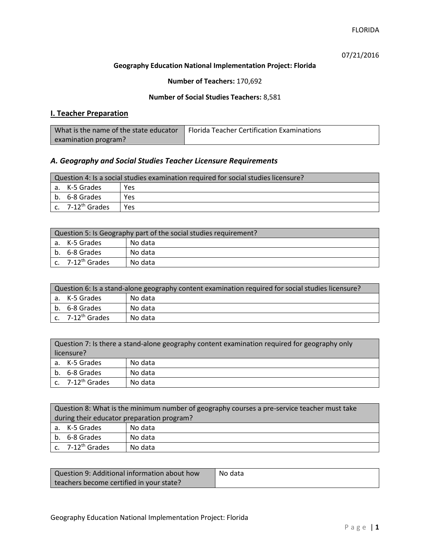07/21/2016

### **Geography Education National Implementation Project: Florida**

**Number of Teachers:** 170,692

### **Number of Social Studies Teachers:** 8,581

### **I. Teacher Preparation**

| What is the name of the state educator | Florida Teacher Certification Examinations |
|----------------------------------------|--------------------------------------------|
| examination program?                   |                                            |

### *A. Geography and Social Studies Teacher Licensure Requirements*

| Question 4: Is a social studies examination required for social studies licensure? |                       |     |  |
|------------------------------------------------------------------------------------|-----------------------|-----|--|
|                                                                                    | a. K-5 Grades<br>Yes  |     |  |
|                                                                                    | b. 6-8 Grades         | Yes |  |
|                                                                                    | c. $7-12^{th}$ Grades | Yes |  |

| Question 5: Is Geography part of the social studies requirement? |                              |         |
|------------------------------------------------------------------|------------------------------|---------|
|                                                                  | l a. K-5 Grades              | No data |
|                                                                  | b. 6-8 Grades                | No data |
|                                                                  | c. 7-12 <sup>th</sup> Grades | No data |

| Question 6: Is a stand-alone geography content examination required for social studies licensure? |         |  |
|---------------------------------------------------------------------------------------------------|---------|--|
| a. K-5 Grades                                                                                     | No data |  |
| b. 6-8 Grades                                                                                     | No data |  |
| c. $7-12^{th}$ Grades                                                                             | No data |  |

|            | Question 7: Is there a stand-alone geography content examination required for geography only |         |  |
|------------|----------------------------------------------------------------------------------------------|---------|--|
| licensure? |                                                                                              |         |  |
|            | a. K-5 Grades                                                                                | No data |  |
|            | b. 6-8 Grades                                                                                | No data |  |
|            | c. 7-12 <sup>th</sup> Grades                                                                 | No data |  |

|                                            | Question 8: What is the minimum number of geography courses a pre-service teacher must take |         |  |
|--------------------------------------------|---------------------------------------------------------------------------------------------|---------|--|
| during their educator preparation program? |                                                                                             |         |  |
|                                            | a. K-5 Grades                                                                               | No data |  |
|                                            | b. 6-8 Grades                                                                               | No data |  |
|                                            | c. $7-12^{th}$ Grades                                                                       | No data |  |

| Question 9: Additional information about how | No data |
|----------------------------------------------|---------|
| teachers become certified in your state?     |         |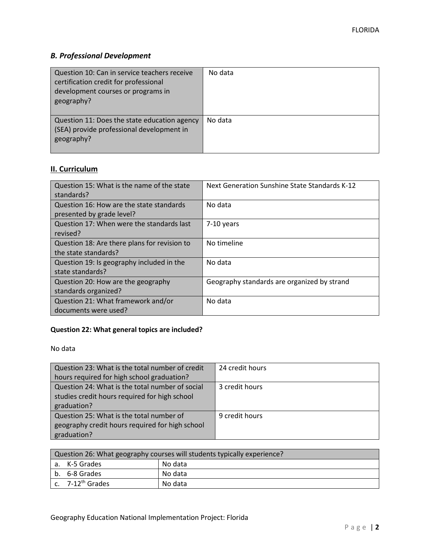# *B. Professional Development*

| Question 10: Can in service teachers receive<br>certification credit for professional<br>development courses or programs in<br>geography? | No data |
|-------------------------------------------------------------------------------------------------------------------------------------------|---------|
| Question 11: Does the state education agency<br>(SEA) provide professional development in<br>geography?                                   | No data |

# **II. Curriculum**

| Question 15: What is the name of the state<br>standards?              | Next Generation Sunshine State Standards K-12 |
|-----------------------------------------------------------------------|-----------------------------------------------|
| Question 16: How are the state standards<br>presented by grade level? | No data                                       |
| Question 17: When were the standards last<br>revised?                 | $7-10$ years                                  |
| Question 18: Are there plans for revision to<br>the state standards?  | No timeline                                   |
| Question 19: Is geography included in the<br>state standards?         | No data                                       |
| Question 20: How are the geography<br>standards organized?            | Geography standards are organized by strand   |
| Question 21: What framework and/or<br>documents were used?            | No data                                       |

## **Question 22: What general topics are included?**

No data

| Question 23: What is the total number of credit | 24 credit hours |
|-------------------------------------------------|-----------------|
| hours required for high school graduation?      |                 |
| Question 24: What is the total number of social | 3 credit hours  |
| studies credit hours required for high school   |                 |
| graduation?                                     |                 |
| Question 25: What is the total number of        | 9 credit hours  |
| geography credit hours required for high school |                 |
| graduation?                                     |                 |

| Question 26: What geography courses will students typically experience? |                              |         |  |  |
|-------------------------------------------------------------------------|------------------------------|---------|--|--|
|                                                                         | No data<br>l a. K-5 Grades   |         |  |  |
|                                                                         | b. 6-8 Grades                | No data |  |  |
|                                                                         | c. 7-12 <sup>th</sup> Grades | No data |  |  |